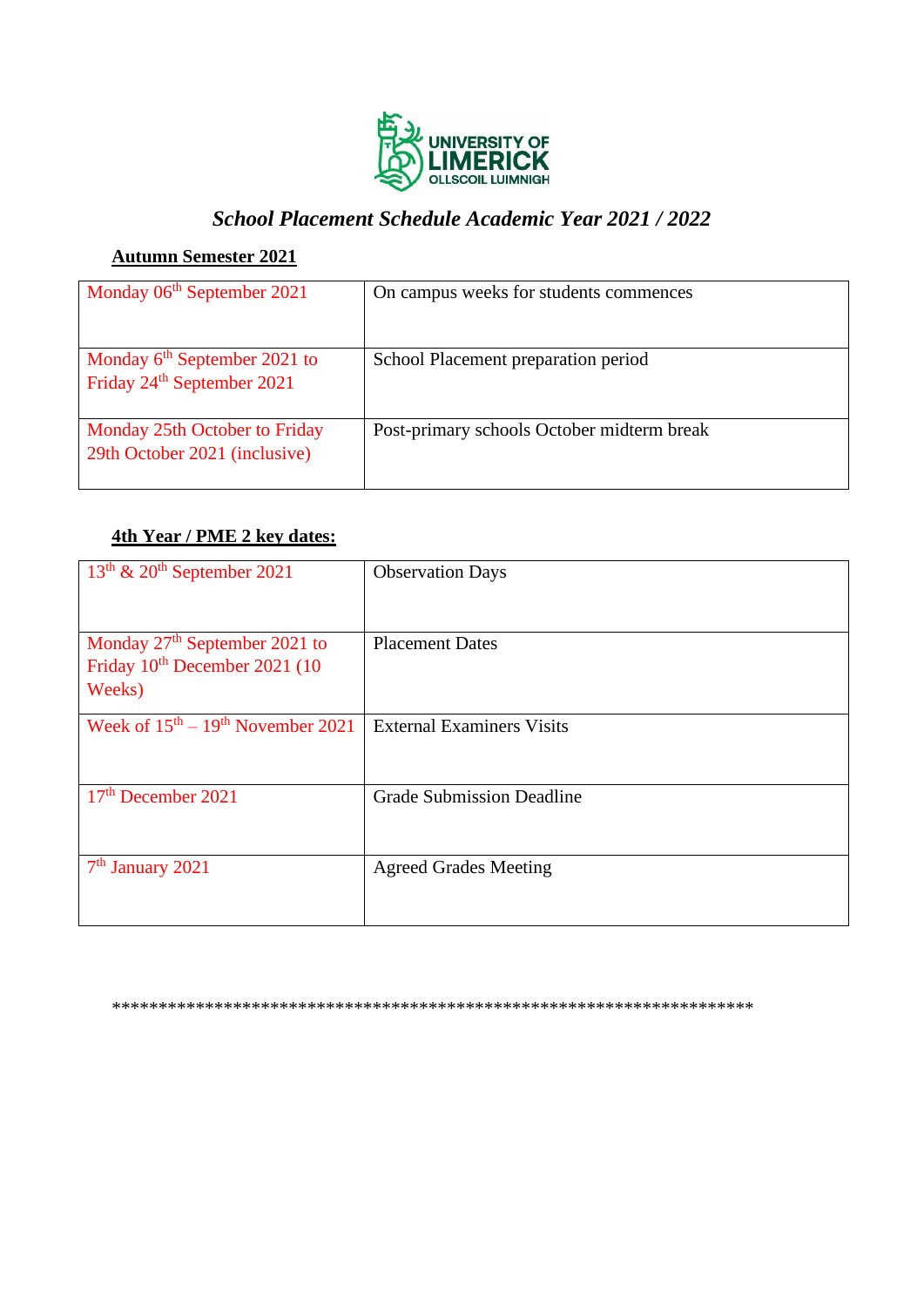

# *School Placement Schedule Academic Year 2021 / 2022*

## **Autumn Semester 2021**

| Monday 06 <sup>th</sup> September 2021                                   | On campus weeks for students commences     |
|--------------------------------------------------------------------------|--------------------------------------------|
| Monday $6th$ September 2021 to<br>Friday 24 <sup>th</sup> September 2021 | School Placement preparation period        |
| Monday 25th October to Friday<br>29th October 2021 (inclusive)           | Post-primary schools October midterm break |

## **4th Year / PME 2 key dates:**

| $13th$ & 20 <sup>th</sup> September 2021                                                         | <b>Observation Days</b>          |
|--------------------------------------------------------------------------------------------------|----------------------------------|
| Monday 27 <sup>th</sup> September 2021 to<br>Friday 10 <sup>th</sup> December 2021 (10<br>Weeks) | <b>Placement Dates</b>           |
| Week of $15th - 19th$ November 2021                                                              | <b>External Examiners Visits</b> |
| 17 <sup>th</sup> December 2021                                                                   | <b>Grade Submission Deadline</b> |
| $7th$ January 2021                                                                               | <b>Agreed Grades Meeting</b>     |

\*\*\*\*\*\*\*\*\*\*\*\*\*\*\*\*\*\*\*\*\*\*\*\*\*\*\*\*\*\*\*\*\*\*\*\*\*\*\*\*\*\*\*\*\*\*\*\*\*\*\*\*\*\*\*\*\*\*\*\*\*\*\*\*\*\*\*\*\*